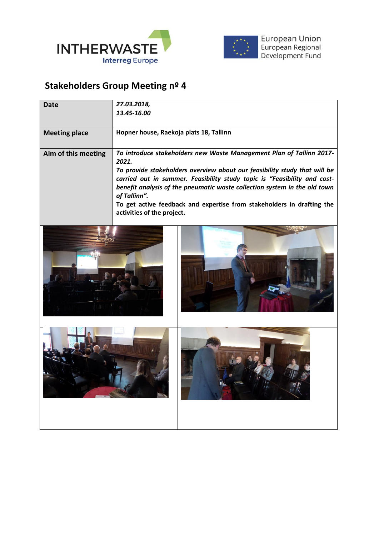



## **Stakeholders Group Meeting nº 4**

| Date                 | 27.03.2018,<br>13.45-16.00                                                                                                                                                                                                                                                                                                                                                                                                                  |
|----------------------|---------------------------------------------------------------------------------------------------------------------------------------------------------------------------------------------------------------------------------------------------------------------------------------------------------------------------------------------------------------------------------------------------------------------------------------------|
| <b>Meeting place</b> | Hopner house, Raekoja plats 18, Tallinn                                                                                                                                                                                                                                                                                                                                                                                                     |
| Aim of this meeting  | To introduce stakeholders new Waste Management Plan of Tallinn 2017-<br>2021.<br>To provide stakeholders overview about our feasibility study that will be<br>carried out in summer. Feasibility study topic is "Feasibility and cost-<br>benefit analysis of the pneumatic waste collection system in the old town<br>of Tallinn".<br>To get active feedback and expertise from stakeholders in drafting the<br>activities of the project. |